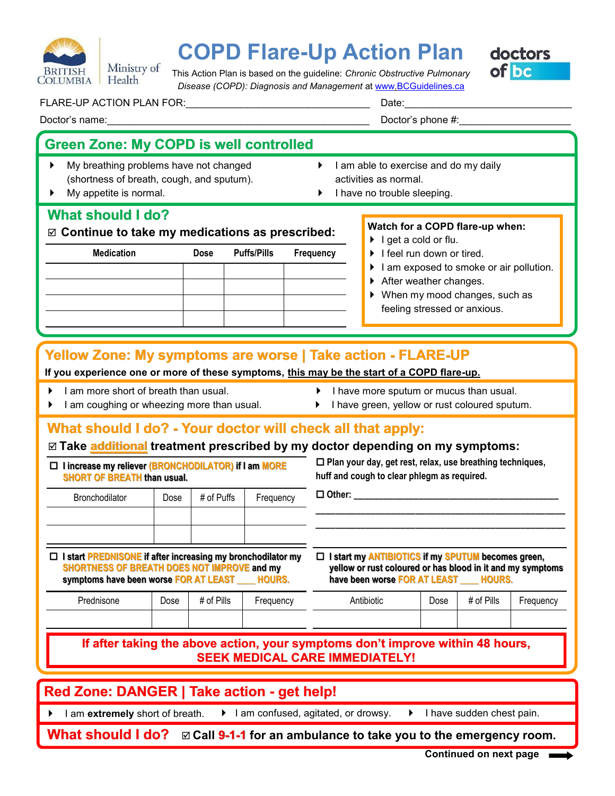

# **COPD Flare-Up Action Plan**

doctors of bc

This Action Plan is based on the guideline: *Chronic Obstructive Pulmonary Disease (COPD): Diagnosis and Management* at [www.BCGuidelines.ca](http://www.bcguidelines.ca)

FLARE-UP ACTION PLAN FOR:\_\_\_\_\_\_\_\_\_\_\_\_\_\_\_\_\_\_\_\_\_\_\_\_\_\_\_\_\_\_\_\_\_ Date:\_\_\_\_\_\_\_\_\_\_\_\_\_\_\_\_\_\_\_\_\_\_\_\_\_\_\_\_\_\_

### **Green Zone: My COPD is well controlled**

- My breathing problems have not changed (shortness of breath, cough, and sputum).
- My appetite is normal.

### $\blacktriangleright$  I am able to exercise and do my daily activities as normal.

Doctor's phone  $\#$ :

 $\blacktriangleright$  I have no trouble sleeping.

### **What should I do?**

**Continue to take my medications as prescribed:**

| <b>Medication</b> | Dose | <b>Puffs/Pills</b> | Frequency |
|-------------------|------|--------------------|-----------|
|                   |      |                    |           |
|                   |      |                    |           |
|                   |      |                    |           |
|                   |      |                    |           |
|                   |      |                    |           |

#### **Watch for a COPD flare-up when:**

- $\blacktriangleright$  I get a cold or flu.
- $\blacktriangleright$  I feel run down or tired.
- I am exposed to smoke or air pollution.
- ▶ After weather changes.
- ▶ When my mood changes, such as feeling stressed or anxious.

### **Yellow Zone: My symptoms are worse | Take action - FLARE-UP**

#### **If you experience one or more of these symptoms, this may be the start of a COPD flare-up.**

 $\blacktriangleright$  I am more short of breath than usual.

- I have more sputum or mucus than usual.
- I am coughing or wheezing more than usual.
- $\blacktriangleright$  I have green, yellow or rust coloured sputum.

### **What should I do? - Your doctor will check all that apply:**

### **Take additional treatment prescribed by my doctor depending on my symptoms:**

|                                    | $\Box$ I increase my reliever (BRONCHODILATOR) if I am MORE |
|------------------------------------|-------------------------------------------------------------|
| <b>SHORT OF BREATH than usual.</b> |                                                             |

 **Plan your day, get rest, relax, use breathing techniques, huff and cough to clear phlegm as required.** 

| Bronchodilator | Dose | # of Puffs | Frequency |
|----------------|------|------------|-----------|
|                |      |            |           |
|                |      |            |           |

**I start PREDNISONE if after increasing my bronchodilator my** 

#### **I start my ANTIBIOTICS if my SPUTUM becomes green, becomes green, yellow or rust coloured or has blood in it and my symptoms**  have been worse **FOR AT LEAST**

**\_\_\_\_\_\_\_\_\_\_\_\_\_\_\_\_\_\_\_\_\_\_\_\_\_\_\_\_\_\_\_\_\_\_\_\_\_\_\_\_\_\_\_\_\_\_\_\_\_\_ \_\_\_\_\_\_\_\_\_\_\_\_\_\_\_\_\_\_\_\_\_\_\_\_\_\_\_\_\_\_\_\_\_\_\_\_\_\_\_\_\_\_\_\_\_\_\_\_\_\_**

| <b>SHORTNESS OF BREATH DOES NOT IMPROVE and my</b><br>symptoms have been worse FOR AT LEAST |      |            | <b>HOURS.</b> | yellow or rust coloured or has blood in it and my symptoms<br>have been worse FOR AT LEAST _____ HOURS. |      |            |           |
|---------------------------------------------------------------------------------------------|------|------------|---------------|---------------------------------------------------------------------------------------------------------|------|------------|-----------|
| Prednisone                                                                                  | Dose | # of Pills | Frequency     | Antibiotic                                                                                              | Dose | # of Pills | Frequency |
|                                                                                             |      |            |               |                                                                                                         |      |            |           |
|                                                                                             |      |            |               |                                                                                                         |      |            |           |

**Other: \_\_\_\_\_\_\_\_\_\_\_\_\_\_\_\_\_\_\_\_\_\_\_\_\_\_\_\_\_\_\_\_\_\_\_\_\_\_\_\_\_**

### **If after taking the above action, your symptoms don't improve within 48 hours, SEEK MEDICAL CARE IMMEDIATELY!**

## **Red Zone: DANGER | Take action - get help!**

I am extremely short of breath.  $\longrightarrow$  I am confused, agitated, or drowsy.  $\longrightarrow$  I have sudden chest pain.

- 
- 
- **What should I do?**  $□$  Call 9-1-1 for an ambulance to take you to the emergency room.